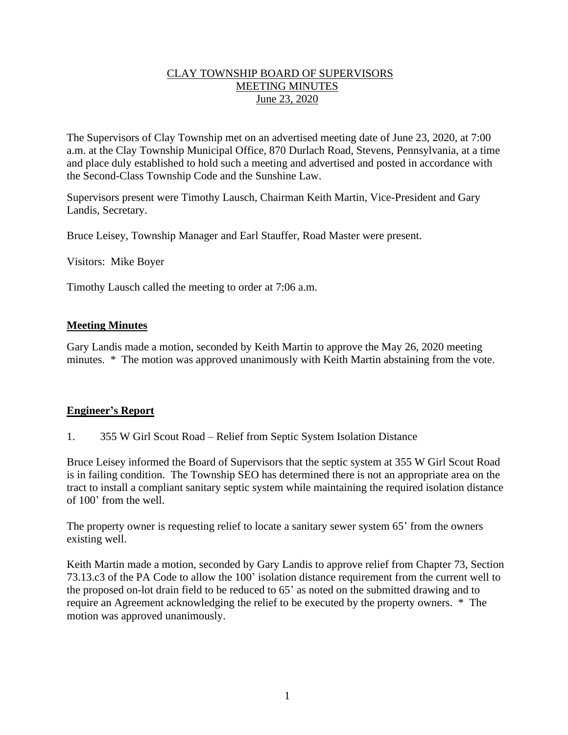## CLAY TOWNSHIP BOARD OF SUPERVISORS MEETING MINUTES June 23, 2020

The Supervisors of Clay Township met on an advertised meeting date of June 23, 2020, at 7:00 a.m. at the Clay Township Municipal Office, 870 Durlach Road, Stevens, Pennsylvania, at a time and place duly established to hold such a meeting and advertised and posted in accordance with the Second-Class Township Code and the Sunshine Law.

Supervisors present were Timothy Lausch, Chairman Keith Martin, Vice-President and Gary Landis, Secretary.

Bruce Leisey, Township Manager and Earl Stauffer, Road Master were present.

Visitors: Mike Boyer

Timothy Lausch called the meeting to order at 7:06 a.m.

### **Meeting Minutes**

Gary Landis made a motion, seconded by Keith Martin to approve the May 26, 2020 meeting minutes. \* The motion was approved unanimously with Keith Martin abstaining from the vote.

### **Engineer's Report**

1. 355 W Girl Scout Road – Relief from Septic System Isolation Distance

Bruce Leisey informed the Board of Supervisors that the septic system at 355 W Girl Scout Road is in failing condition. The Township SEO has determined there is not an appropriate area on the tract to install a compliant sanitary septic system while maintaining the required isolation distance of 100' from the well.

The property owner is requesting relief to locate a sanitary sewer system 65' from the owners existing well.

Keith Martin made a motion, seconded by Gary Landis to approve relief from Chapter 73, Section 73.13.c3 of the PA Code to allow the 100' isolation distance requirement from the current well to the proposed on-lot drain field to be reduced to 65' as noted on the submitted drawing and to require an Agreement acknowledging the relief to be executed by the property owners. \* The motion was approved unanimously.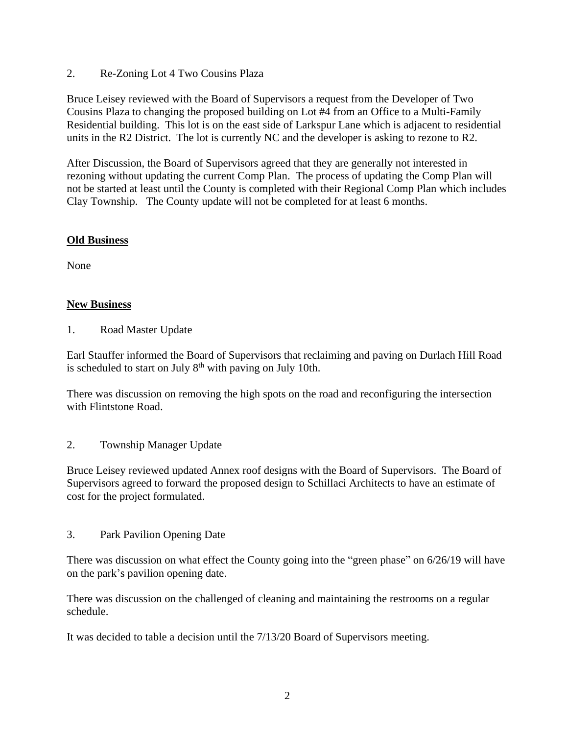2. Re-Zoning Lot 4 Two Cousins Plaza

Bruce Leisey reviewed with the Board of Supervisors a request from the Developer of Two Cousins Plaza to changing the proposed building on Lot #4 from an Office to a Multi-Family Residential building. This lot is on the east side of Larkspur Lane which is adjacent to residential units in the R2 District. The lot is currently NC and the developer is asking to rezone to R2.

After Discussion, the Board of Supervisors agreed that they are generally not interested in rezoning without updating the current Comp Plan. The process of updating the Comp Plan will not be started at least until the County is completed with their Regional Comp Plan which includes Clay Township. The County update will not be completed for at least 6 months.

## **Old Business**

None

## **New Business**

1. Road Master Update

Earl Stauffer informed the Board of Supervisors that reclaiming and paving on Durlach Hill Road is scheduled to start on July  $8<sup>th</sup>$  with paving on July 10th.

There was discussion on removing the high spots on the road and reconfiguring the intersection with Flintstone Road.

### 2. Township Manager Update

Bruce Leisey reviewed updated Annex roof designs with the Board of Supervisors. The Board of Supervisors agreed to forward the proposed design to Schillaci Architects to have an estimate of cost for the project formulated.

3. Park Pavilion Opening Date

There was discussion on what effect the County going into the "green phase" on 6/26/19 will have on the park's pavilion opening date.

There was discussion on the challenged of cleaning and maintaining the restrooms on a regular schedule.

It was decided to table a decision until the 7/13/20 Board of Supervisors meeting.